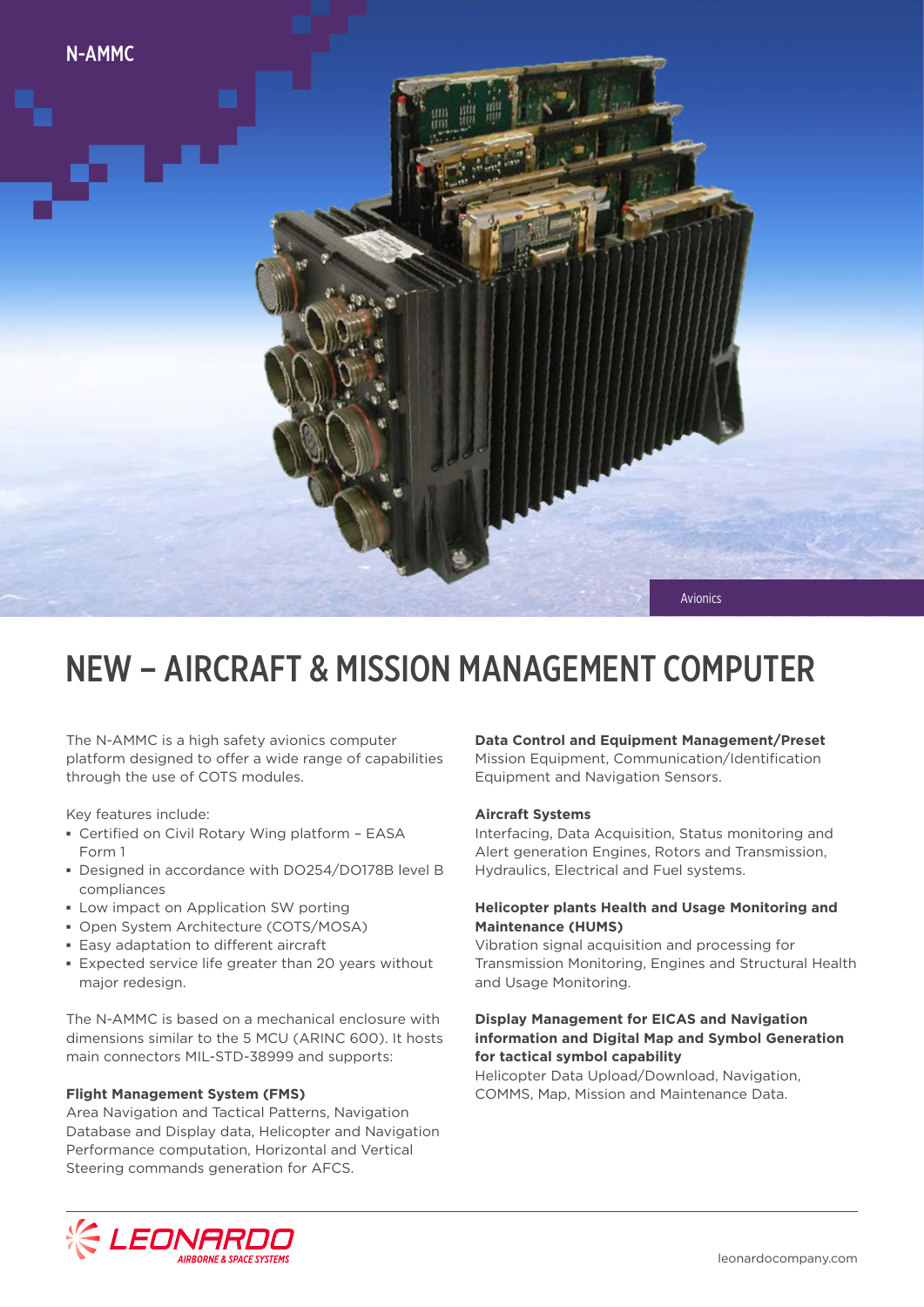

## NEW – AIRCRAFT & MISSION MANAGEMENT COMPUTER

The N-AMMC is a high safety avionics computer platform designed to offer a wide range of capabilities through the use of COTS modules.

Key features include:

- **▪** Certified on Civil Rotary Wing platform EASA Form 1
- **▪** Designed in accordance with DO254/DO178B level B compliances
- **▪** Low impact on Application SW porting
- **▪** Open System Architecture (COTS/MOSA)
- **▪** Easy adaptation to different aircraft
- **▪** Expected service life greater than 20 years without major redesign.

The N-AMMC is based on a mechanical enclosure with dimensions similar to the 5 MCU (ARINC 600). It hosts main connectors MIL-STD-38999 and supports:

#### **Flight Management System (FMS)**

Area Navigation and Tactical Patterns, Navigation Database and Display data, Helicopter and Navigation Performance computation, Horizontal and Vertical Steering commands generation for AFCS.

#### **Data Control and Equipment Management/Preset**

Mission Equipment, Communication/Identification Equipment and Navigation Sensors.

#### **Aircraft Systems**

Interfacing, Data Acquisition, Status monitoring and Alert generation Engines, Rotors and Transmission, Hydraulics, Electrical and Fuel systems.

#### **Helicopter plants Health and Usage Monitoring and Maintenance (HUMS)**

Vibration signal acquisition and processing for Transmission Monitoring, Engines and Structural Health and Usage Monitoring.

#### **Display Management for EICAS and Navigation information and Digital Map and Symbol Generation for tactical symbol capability**

Helicopter Data Upload/Download, Navigation, COMMS, Map, Mission and Maintenance Data.